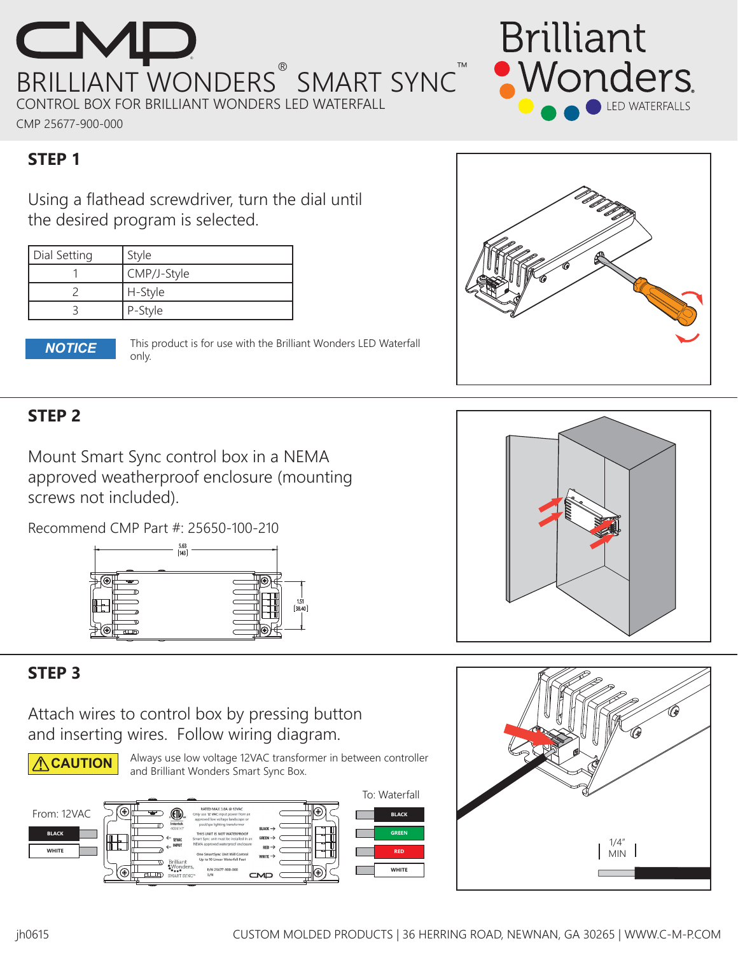BRILLIANT WONDERS<sup>®</sup> SMART SYNC<sup>™</sup> CONTROL BOX FOR BRILLIANT WONDERS LED WATERFALL

®

CMP 25677-900-000

## **STEP 1**

Using a flathead screwdriver, turn the dial until the desired program is selected.

| Dial Setting | Style       |
|--------------|-------------|
|              | CMP/J-Style |
|              | H-Style     |
|              | P-Style     |

This product is for use with the Brilliant Wonders LED Waterfall only.



# **STEP 2**

*NOTICE*

Mount Smart Sync control box in a NEMA approved weatherproof enclosure (mounting screws not included).

Recommend CMP Part #: 25650-100-210





## **STEP 3**

Attach wires to control box by pressing button and inserting wires. Follow wiring diagram.



Always use low voltage 12VAC transformer in between controller and Brilliant Wonders Smart Sync Box.

|              |                                                                                                                                                                                                    | To: Waterfall |
|--------------|----------------------------------------------------------------------------------------------------------------------------------------------------------------------------------------------------|---------------|
| From: 12VAC  | RATED MAX 3.0A @ 12VAC<br>⊕⊩<br>(⊕`<br>┳<br>(1)<br>Only use 12 VAC input power from an<br>approved low voltage landscape or                                                                        | <b>BLACK</b>  |
| <b>BLACK</b> | Intertek<br>pool/spa lighting transformer<br>4006147<br>$BLACK \rightarrow$<br>THIS UNIT IS NOT WATERPROOF<br>$GREEN \rightarrow$<br>$\leftarrow$ 12VAC<br>Smart Sync unit must be installed in an | <b>GREEN</b>  |
| <b>WHITE</b> | NEMA approved waterproof enclosure<br>$\leftarrow$ INPUT<br>$RED \rightarrow$<br><b>The State</b><br>One SmartSync Unit Will Control<br>WHITE $\rightarrow$<br>Up to 10 Linear Waterfall Feet      | <b>RED</b>    |
|              | Brilliant<br>$\bullet$ Wonders,<br>P/N 25677-900-000<br>⊕<br>'′⊕,<br>ਗਸ<br>S/N<br>SMART SYNC™<br>CMD                                                                                               | <b>WHITE</b>  |